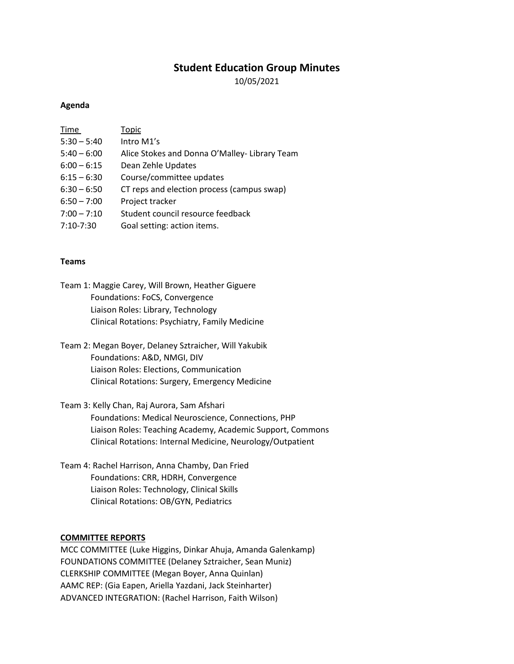# **Student Education Group Minutes**

10/05/2021

#### **Agenda**

| Time          | Topic                                        |
|---------------|----------------------------------------------|
| $5:30 - 5:40$ | Intro M1's                                   |
| $5:40 - 6:00$ | Alice Stokes and Donna O'Malley-Library Team |
| $6:00 - 6:15$ | Dean Zehle Updates                           |
| $6:15 - 6:30$ | Course/committee updates                     |
| $6:30 - 6:50$ | CT reps and election process (campus swap)   |
| $6:50 - 7:00$ | Project tracker                              |
| $7:00 - 7:10$ | Student council resource feedback            |
| $7:10 - 7:30$ | Goal setting: action items.                  |

#### **Teams**

- Team 1: Maggie Carey, Will Brown, Heather Giguere Foundations: FoCS, Convergence Liaison Roles: Library, Technology Clinical Rotations: Psychiatry, Family Medicine
- Team 2: Megan Boyer, Delaney Sztraicher, Will Yakubik Foundations: A&D, NMGI, DIV Liaison Roles: Elections, Communication Clinical Rotations: Surgery, Emergency Medicine
- Team 3: Kelly Chan, Raj Aurora, Sam Afshari Foundations: Medical Neuroscience, Connections, PHP Liaison Roles: Teaching Academy, Academic Support, Commons Clinical Rotations: Internal Medicine, Neurology/Outpatient
- Team 4: Rachel Harrison, Anna Chamby, Dan Fried Foundations: CRR, HDRH, Convergence Liaison Roles: Technology, Clinical Skills Clinical Rotations: OB/GYN, Pediatrics

#### **COMMITTEE REPORTS**

MCC COMMITTEE (Luke Higgins, Dinkar Ahuja, Amanda Galenkamp) FOUNDATIONS COMMITTEE (Delaney Sztraicher, Sean Muniz) CLERKSHIP COMMITTEE (Megan Boyer, Anna Quinlan) AAMC REP: (Gia Eapen, Ariella Yazdani, Jack Steinharter) ADVANCED INTEGRATION: (Rachel Harrison, Faith Wilson)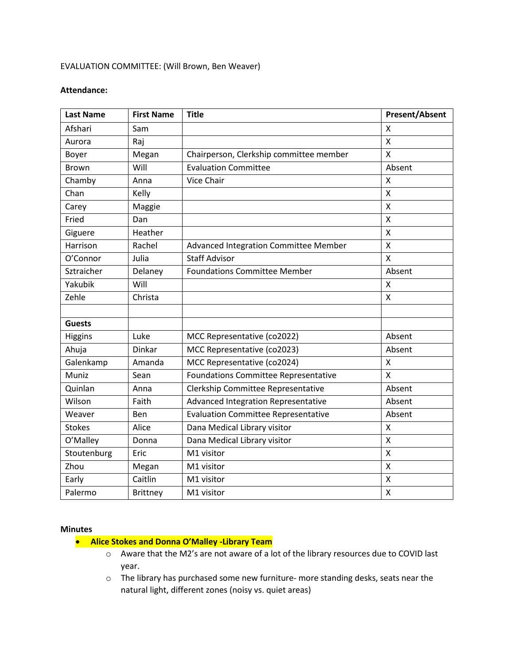## EVALUATION COMMITTEE: (Will Brown, Ben Weaver)

### **Attendance:**

| <b>Last Name</b> | <b>First Name</b> | <b>Title</b>                                | <b>Present/Absent</b> |
|------------------|-------------------|---------------------------------------------|-----------------------|
| Afshari          | Sam               |                                             | X                     |
| Aurora           | Raj               |                                             | X                     |
| Boyer            | Megan             | Chairperson, Clerkship committee member     | X                     |
| <b>Brown</b>     | Will              | <b>Evaluation Committee</b>                 | Absent                |
| Chamby           | Anna              | Vice Chair                                  | X                     |
| Chan             | Kelly             |                                             | $\mathsf{X}$          |
| Carey            | Maggie            |                                             | X                     |
| Fried            | Dan               |                                             | $\pmb{\mathsf{X}}$    |
| Giguere          | Heather           |                                             | $\pmb{\mathsf{X}}$    |
| Harrison         | Rachel            | Advanced Integration Committee Member       | $\pmb{\mathsf{X}}$    |
| O'Connor         | Julia             | <b>Staff Advisor</b>                        | X                     |
| Sztraicher       | Delaney           | <b>Foundations Committee Member</b>         | Absent                |
| Yakubik          | Will              |                                             | X                     |
| Zehle            | Christa           |                                             | X                     |
|                  |                   |                                             |                       |
| <b>Guests</b>    |                   |                                             |                       |
| <b>Higgins</b>   | Luke              | MCC Representative (co2022)                 | Absent                |
| Ahuja            | <b>Dinkar</b>     | MCC Representative (co2023)                 | Absent                |
| Galenkamp        | Amanda            | MCC Representative (co2024)                 | X                     |
| Muniz            | Sean              | <b>Foundations Committee Representative</b> | $\mathsf{x}$          |
| Quinlan          | Anna              | Clerkship Committee Representative          | Absent                |
| Wilson           | Faith             | Advanced Integration Representative         | Absent                |
| Weaver           | Ben               | <b>Evaluation Committee Representative</b>  | Absent                |
| <b>Stokes</b>    | Alice             | Dana Medical Library visitor                | X                     |
| O'Malley         | Donna             | Dana Medical Library visitor                | X                     |
| Stoutenburg      | Eric              | M1 visitor                                  | X                     |
| Zhou             | Megan             | M1 visitor                                  | X                     |
| Early            | Caitlin           | M1 visitor                                  | $\pmb{\mathsf{X}}$    |
| Palermo          | <b>Brittney</b>   | M1 visitor                                  | $\pmb{\mathsf{X}}$    |

#### **Minutes**

# • **Alice Stokes and Donna O'Malley -Library Team**

- o Aware that the M2's are not aware of a lot of the library resources due to COVID last year.
- o The library has purchased some new furniture- more standing desks, seats near the natural light, different zones (noisy vs. quiet areas)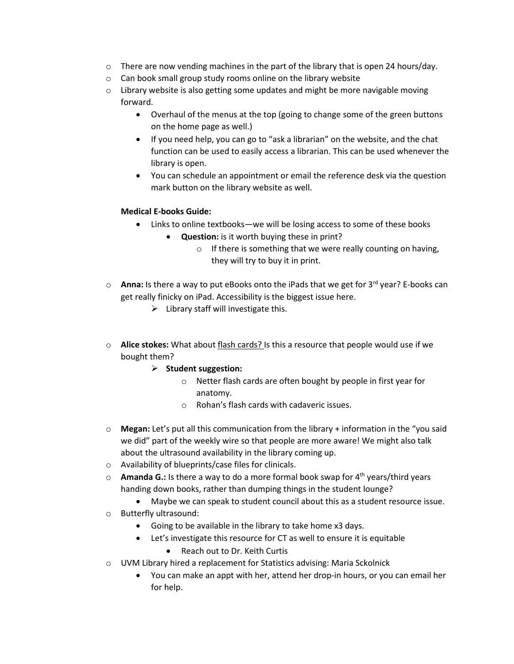- $\circ$  There are now vending machines in the part of the library that is open 24 hours/day.
- o Can book small group study rooms online on the library website
- $\circ$  Library website is also getting some updates and might be more navigable moving forward.
	- Overhaul of the menus at the top (going to change some of the green buttons on the home page as well.)
	- If you need help, you can go to "ask a librarian" on the website, and the chat function can be used to easily access a librarian. This can be used whenever the library is open.
	- You can schedule an appointment or email the reference desk via the question mark button on the library website as well.

# **Medical E-books Guide:**

- Links to online textbooks—we will be losing access to some of these books
	- **Question:** is it worth buying these in print?
		- $\circ$  If there is something that we were really counting on having, they will try to buy it in print.
- o **Anna:** Is there a way to put eBooks onto the iPads that we get for 3rd year? E-books can get really finicky on iPad. Accessibility is the biggest issue here.
	- $\triangleright$  Library staff will investigate this.
- o **Alice stokes:** What about flash cards? Is this a resource that people would use if we bought them?
	- **Student suggestion:**
		- o Netter flash cards are often bought by people in first year for anatomy.
		- o Rohan's flash cards with cadaveric issues.
- o **Megan:** Let's put all this communication from the library + information in the "you said we did" part of the weekly wire so that people are more aware! We might also talk about the ultrasound availability in the library coming up.
- o Availability of blueprints/case files for clinicals.
- o **Amanda G.:** Is there a way to do a more formal book swap for 4th years/third years handing down books, rather than dumping things in the student lounge?
	- Maybe we can speak to student council about this as a student resource issue.
- o Butterfly ultrasound:
	- Going to be available in the library to take home x3 days.
	- Let's investigate this resource for CT as well to ensure it is equitable
		- Reach out to Dr. Keith Curtis
- o UVM Library hired a replacement for Statistics advising: Maria Sckolnick
	- You can make an appt with her, attend her drop-in hours, or you can email her for help.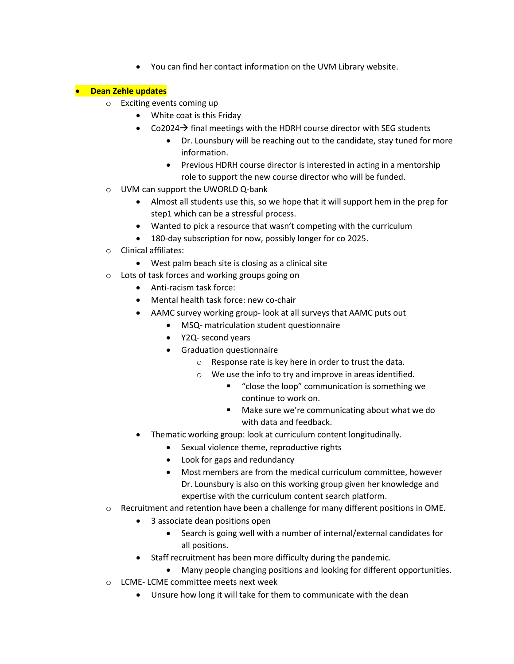• You can find her contact information on the UVM Library website.

# • **Dean Zehle updates**

- o Exciting events coming up
	- White coat is this Friday
	- Co2024 $\rightarrow$  final meetings with the HDRH course director with SEG students
		- Dr. Lounsbury will be reaching out to the candidate, stay tuned for more information.
		- Previous HDRH course director is interested in acting in a mentorship role to support the new course director who will be funded.
- o UVM can support the UWORLD Q-bank
	- Almost all students use this, so we hope that it will support hem in the prep for step1 which can be a stressful process.
	- Wanted to pick a resource that wasn't competing with the curriculum
	- 180-day subscription for now, possibly longer for co 2025.
- o Clinical affiliates:
	- West palm beach site is closing as a clinical site
- o Lots of task forces and working groups going on
	- Anti-racism task force:
	- Mental health task force: new co-chair
	- AAMC survey working group- look at all surveys that AAMC puts out
		- MSQ- matriculation student questionnaire
		- Y2Q- second years
		- Graduation questionnaire
			- o Response rate is key here in order to trust the data.
			- o We use the info to try and improve in areas identified.
				- "close the loop" communication is something we continue to work on.
				- **Make sure we're communicating about what we do** with data and feedback.
	- Thematic working group: look at curriculum content longitudinally.
		- Sexual violence theme, reproductive rights
		- Look for gaps and redundancy
		- Most members are from the medical curriculum committee, however Dr. Lounsbury is also on this working group given her knowledge and expertise with the curriculum content search platform.
- $\circ$  Recruitment and retention have been a challenge for many different positions in OME.
	- 3 associate dean positions open
		- Search is going well with a number of internal/external candidates for all positions.
	- Staff recruitment has been more difficulty during the pandemic.
		- Many people changing positions and looking for different opportunities.
- o LCME- LCME committee meets next week
	- Unsure how long it will take for them to communicate with the dean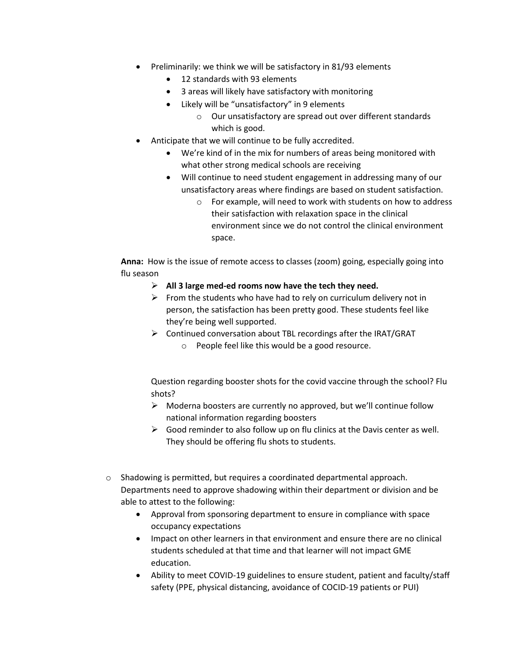- Preliminarily: we think we will be satisfactory in 81/93 elements
	- 12 standards with 93 elements
	- 3 areas will likely have satisfactory with monitoring
	- Likely will be "unsatisfactory" in 9 elements
		- o Our unsatisfactory are spread out over different standards which is good.
- Anticipate that we will continue to be fully accredited.
	- We're kind of in the mix for numbers of areas being monitored with what other strong medical schools are receiving
	- Will continue to need student engagement in addressing many of our unsatisfactory areas where findings are based on student satisfaction.
		- o For example, will need to work with students on how to address their satisfaction with relaxation space in the clinical environment since we do not control the clinical environment space.

**Anna:** How is the issue of remote access to classes (zoom) going, especially going into flu season

- **All 3 large med-ed rooms now have the tech they need.**
- $\triangleright$  From the students who have had to rely on curriculum delivery not in person, the satisfaction has been pretty good. These students feel like they're being well supported.
- $\triangleright$  Continued conversation about TBL recordings after the IRAT/GRAT o People feel like this would be a good resource.

Question regarding booster shots for the covid vaccine through the school? Flu shots?

- $\triangleright$  Moderna boosters are currently no approved, but we'll continue follow national information regarding boosters
- $\triangleright$  Good reminder to also follow up on flu clinics at the Davis center as well. They should be offering flu shots to students.
- $\circ$  Shadowing is permitted, but requires a coordinated departmental approach. Departments need to approve shadowing within their department or division and be able to attest to the following:
	- Approval from sponsoring department to ensure in compliance with space occupancy expectations
	- Impact on other learners in that environment and ensure there are no clinical students scheduled at that time and that learner will not impact GME education.
	- Ability to meet COVID-19 guidelines to ensure student, patient and faculty/staff safety (PPE, physical distancing, avoidance of COCID-19 patients or PUI)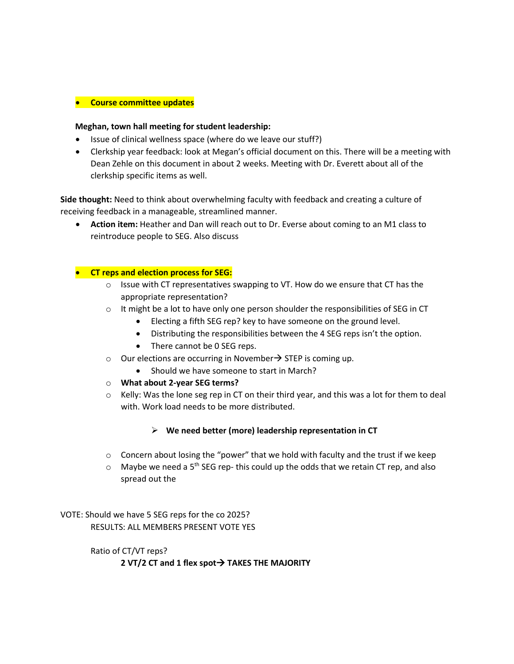### • **Course committee updates**

### **Meghan, town hall meeting for student leadership:**

- Issue of clinical wellness space (where do we leave our stuff?)
- Clerkship year feedback: look at Megan's official document on this. There will be a meeting with Dean Zehle on this document in about 2 weeks. Meeting with Dr. Everett about all of the clerkship specific items as well.

**Side thought:** Need to think about overwhelming faculty with feedback and creating a culture of receiving feedback in a manageable, streamlined manner.

• **Action item:** Heather and Dan will reach out to Dr. Everse about coming to an M1 class to reintroduce people to SEG. Also discuss

### • **CT reps and election process for SEG:**

- $\circ$  Issue with CT representatives swapping to VT. How do we ensure that CT has the appropriate representation?
- $\circ$  It might be a lot to have only one person shoulder the responsibilities of SEG in CT
	- Electing a fifth SEG rep? key to have someone on the ground level.
	- Distributing the responsibilities between the 4 SEG reps isn't the option.
	- There cannot be 0 SEG reps.
- $\circ$  Our elections are occurring in November  $\rightarrow$  STEP is coming up.
	- Should we have someone to start in March?
- o **What about 2-year SEG terms?**
- $\circ$  Kelly: Was the lone seg rep in CT on their third year, and this was a lot for them to deal with. Work load needs to be more distributed.

## **We need better (more) leadership representation in CT**

- $\circ$  Concern about losing the "power" that we hold with faculty and the trust if we keep
- $\circ$  Maybe we need a 5<sup>th</sup> SEG rep- this could up the odds that we retain CT rep, and also spread out the

VOTE: Should we have 5 SEG reps for the co 2025? RESULTS: ALL MEMBERS PRESENT VOTE YES

Ratio of CT/VT reps?

**2 VT/2 CT and 1 flex spot→ TAKES THE MAJORITY**